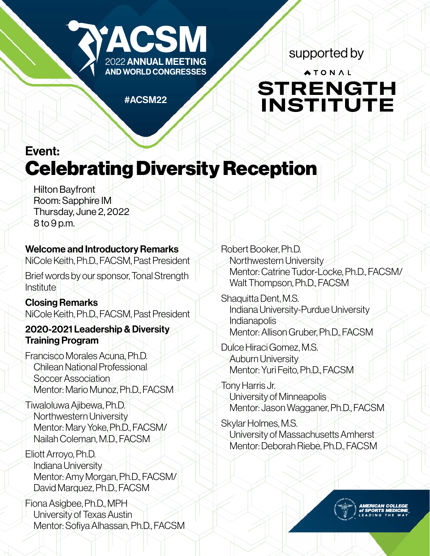

supported by

# ATONAL **STRENGTH** INSTITUTE

#ACSM22

# Event: Celebrating Diversity Reception

Hilton Bayfront Room: Sapphire IM Thursday, June 2, 2022 8 to 9 p.m.

# Welcome and Introductory Remarks

NiCole Keith, Ph.D., FACSM, Past President

Brief words by our sponsor, Tonal Strength Institute

#### Closing Remarks NiCole Keith, Ph.D., FACSM, Past President

### 2020-2021 Leadership & Diversity Training Program

Francisco Morales Acuna, Ph.D. Chilean National Professional Soccer Association Mentor: Mario Munoz, Ph.D., FACSM

Tiwaloluwa Ajibewa, Ph.D. Northwestern University Mentor: Mary Yoke, Ph.D., FACSM/ Nailah Coleman, M.D., FACSM

Eliott Arroyo, Ph.D. Indiana University Mentor: Amy Morgan, Ph.D., FACSM/ David Marquez, Ph.D., FACSM

Fiona Asigbee, Ph.D., MPH University of Texas Austin Mentor: Sofiya Alhassan, Ph.D., FACSM Robert Booker, Ph.D. Northwestern University Mentor: Catrine Tudor-Locke, Ph.D., FACSM/ Walt Thompson, Ph.D., FACSM

Shaquitta Dent, M.S. Indiana University-Purdue University **Indianapolis** Mentor: Allison Gruber, Ph.D., FACSM

Dulce Hiraci Gomez, M.S. Auburn University Mentor: Yuri Feito, Ph.D., FACSM

Tony Harris Jr. University of Minneapolis Mentor: Jason Wagganer, Ph.D., FACSM

Skylar Holmes, M.S. University of Massachusetts Amherst Mentor: Deborah Riebe, Ph.D., FACSM

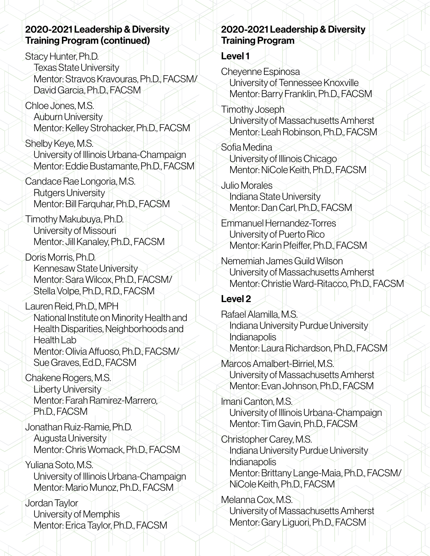#### 2020-2021 Leadership & Diversity Training Program (continued)

Stacy Hunter, Ph.D. Texas State University Mentor: Stravos Kravouras, Ph.D., FACSM/ David Garcia, Ph.D., FACSM

Chloe Jones, M.S. Auburn University Mentor: Kelley Strohacker, Ph.D., FACSM

Shelby Keye, M.S. University of Illinois Urbana-Champaign Mentor: Eddie Bustamante, Ph.D., FACSM

Candace Rae Longoria, M.S. Rutgers University Mentor: Bill Farquhar, Ph.D., FACSM

Timothy Makubuya, Ph.D. University of Missouri Mentor: Jill Kanaley, Ph.D., FACSM

Doris Morris, Ph.D. Kennesaw State University Mentor: Sara Wilcox, Ph.D., FACSM/ Stella Volpe, Ph.D., R.D., FACSM

Lauren Reid, Ph.D., MPH National Institute on Minority Health and Health Disparities, Neighborhoods and Health Lab Mentor: Olivia Affuoso, Ph.D., FACSM/ Sue Graves, Ed.D., FACSM

Chakene Rogers, M.S. Liberty University Mentor: Farah Ramirez-Marrero, Ph.D., FACSM

Jonathan Ruiz-Ramie, Ph.D. Augusta University Mentor: Chris Womack, Ph.D., FACSM

Yuliana Soto, M.S. University of Illinois Urbana-Champaign Mentor: Mario Munoz, Ph.D., FACSM

Jordan Taylor University of Memphis Mentor: Erica Taylor, Ph.D., FACSM

## 2020-2021 Leadership & Diversity Training Program

### Level 1

Cheyenne Espinosa

University of Tennessee Knoxville Mentor: Barry Franklin, Ph.D., FACSM

Timothy Joseph University of Massachusetts Amherst Mentor: Leah Robinson, Ph.D., FACSM

Sofia Medina University of Illinois Chicago Mentor: NiCole Keith, Ph.D., FACSM

Julio Morales Indiana State University Mentor: Dan Carl, Ph.D., FACSM

Emmanuel Hernandez-Torres University of Puerto Rico Mentor: Karin Pfeiffer, Ph.D., FACSM

Nememiah James Guild Wilson University of Massachusetts Amherst Mentor: Christie Ward-Ritacco, Ph.D., FACSM

# Level 2

Rafael Alamilla, M.S. Indiana University Purdue University Indianapolis Mentor: Laura Richardson, Ph.D., FACSM

Marcos Amalbert-Birriel, M.S. University of Massachusetts Amherst Mentor: Evan Johnson, Ph.D., FACSM

Imani Canton, M.S. University of Illinois Urbana-Champaign Mentor: Tim Gavin, Ph.D., FACSM

Christopher Carey, M.S. Indiana University Purdue University Indianapolis Mentor: Brittany Lange-Maia, Ph.D., FACSM/ NiCole Keith, Ph.D., FACSM

Melanna Cox, M.S. University of Massachusetts Amherst Mentor: Gary Liguori, Ph.D., FACSM